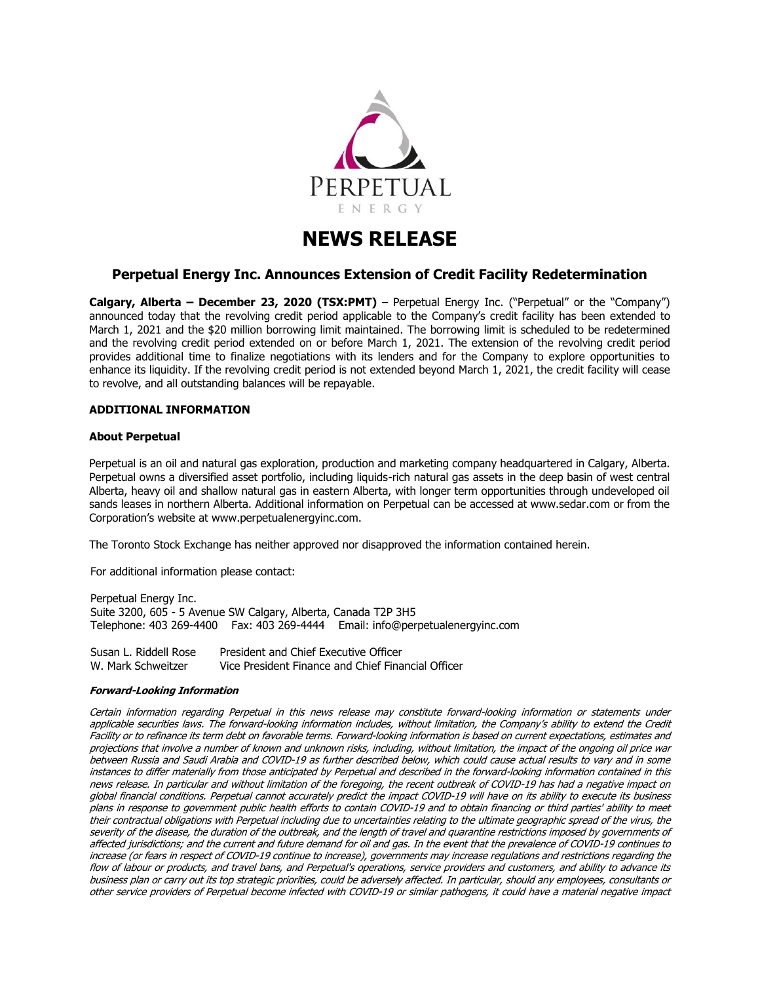

# **NEWS RELEASE**

# **Perpetual Energy Inc. Announces Extension of Credit Facility Redetermination**

**Calgary, Alberta – December 23, 2020 (TSX:PMT)** – Perpetual Energy Inc. ("Perpetual" or the "Company") announced today that the revolving credit period applicable to the Company's credit facility has been extended to March 1, 2021 and the \$20 million borrowing limit maintained. The borrowing limit is scheduled to be redetermined and the revolving credit period extended on or before March 1, 2021. The extension of the revolving credit period provides additional time to finalize negotiations with its lenders and for the Company to explore opportunities to enhance its liquidity. If the revolving credit period is not extended beyond March 1, 2021, the credit facility will cease to revolve, and all outstanding balances will be repayable.

## **ADDITIONAL INFORMATION**

### **About Perpetual**

Perpetual is an oil and natural gas exploration, production and marketing company headquartered in Calgary, Alberta. Perpetual owns a diversified asset portfolio, including liquids-rich natural gas assets in the deep basin of west central Alberta, heavy oil and shallow natural gas in eastern Alberta, with longer term opportunities through undeveloped oil sands leases in northern Alberta. Additional information on Perpetual can be accessed at www.sedar.com or from the Corporation's website at www.perpetualenergyinc.com.

The Toronto Stock Exchange has neither approved nor disapproved the information contained herein.

For additional information please contact:

Perpetual Energy Inc. Suite 3200, 605 - 5 Avenue SW Calgary, Alberta, Canada T2P 3H5 Telephone: 403 269-4400 Fax: 403 269-4444 Email: info@perpetualenergyinc.com

| Susan L. Riddell Rose | President and Chief Executive Officer              |
|-----------------------|----------------------------------------------------|
| W. Mark Schweitzer    | Vice President Finance and Chief Financial Officer |

#### **Forward-Looking Information**

Certain information regarding Perpetual in this news release may constitute forward-looking information or statements under applicable securities laws. The forward-looking information includes, without limitation, the Company's ability to extend the Credit Facility or to refinance its term debt on favorable terms. Forward-looking information is based on current expectations, estimates and projections that involve a number of known and unknown risks, including, without limitation, the impact of the ongoing oil price war between Russia and Saudi Arabia and COVID-19 as further described below, which could cause actual results to vary and in some instances to differ materially from those anticipated by Perpetual and described in the forward-looking information contained in this news release. In particular and without limitation of the foregoing, the recent outbreak of COVID-19 has had a negative impact on global financial conditions. Perpetual cannot accurately predict the impact COVID-19 will have on its ability to execute its business plans in response to government public health efforts to contain COVID-19 and to obtain financing or third parties' ability to meet their contractual obligations with Perpetual including due to uncertainties relating to the ultimate geographic spread of the virus, the severity of the disease, the duration of the outbreak, and the length of travel and quarantine restrictions imposed by governments of affected jurisdictions; and the current and future demand for oil and gas. In the event that the prevalence of COVID-19 continues to increase (or fears in respect of COVID-19 continue to increase), governments may increase regulations and restrictions regarding the flow of labour or products, and travel bans, and Perpetual's operations, service providers and customers, and ability to advance its business plan or carry out its top strategic priorities, could be adversely affected. In particular, should any employees, consultants or other service providers of Perpetual become infected with COVID-19 or similar pathogens, it could have a material negative impact